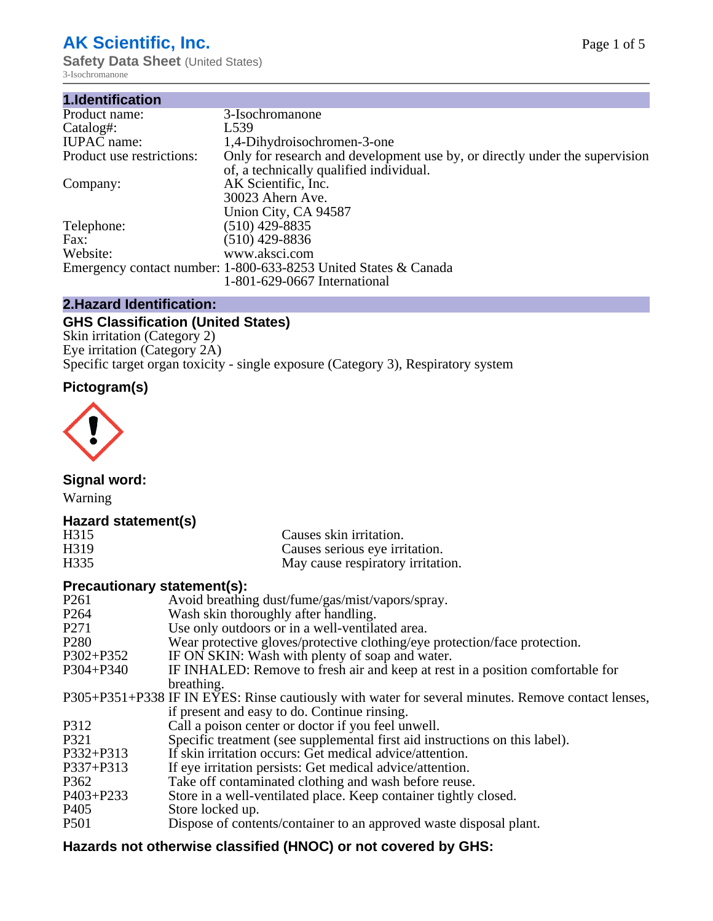# **AK Scientific, Inc.**

**Safety Data Sheet (United States)** 3-Isochromanone

| 1.Identification          |                                                                             |
|---------------------------|-----------------------------------------------------------------------------|
| Product name:             | 3-Isochromanone                                                             |
| Catalog#:                 | L <sub>539</sub>                                                            |
| <b>IUPAC</b> name:        | 1,4-Dihydroisochromen-3-one                                                 |
| Product use restrictions: | Only for research and development use by, or directly under the supervision |
|                           | of, a technically qualified individual.                                     |
| Company:                  | AK Scientific, Inc.                                                         |
|                           | 30023 Ahern Ave.                                                            |
|                           | Union City, CA 94587                                                        |
| Telephone:                | $(510)$ 429-8835                                                            |
| Fax:                      | $(510)$ 429-8836                                                            |
| Website:                  | www.aksci.com                                                               |
|                           | Emergency contact number: 1-800-633-8253 United States & Canada             |
|                           | 1-801-629-0667 International                                                |

# **2.Hazard Identification:**

# **GHS Classification (United States)**

Skin irritation (Category 2) Eye irritation (Category 2A) Specific target organ toxicity - single exposure (Category 3), Respiratory system

# **Pictogram(s)**



**Signal word:**

Warning

# **Hazard statement(s)**

| H315 | Causes skin irritation.           |
|------|-----------------------------------|
| H319 | Causes serious eye irritation.    |
| H335 | May cause respiratory irritation. |

# **Precautionary statement(s):**

| P <sub>261</sub> | Avoid breathing dust/fume/gas/mist/vapors/spray.                                                   |
|------------------|----------------------------------------------------------------------------------------------------|
| P <sub>264</sub> | Wash skin thoroughly after handling.                                                               |
| P <sub>271</sub> | Use only outdoors or in a well-ventilated area.                                                    |
| P <sub>280</sub> | Wear protective gloves/protective clothing/eye protection/face protection.                         |
| P302+P352        | IF ON SKIN: Wash with plenty of soap and water.                                                    |
| $P304 + P340$    | IF INHALED: Remove to fresh air and keep at rest in a position comfortable for                     |
|                  | breathing.                                                                                         |
|                  | P305+P351+P338 IF IN EYES: Rinse cautiously with water for several minutes. Remove contact lenses, |
|                  | if present and easy to do. Continue rinsing.                                                       |
| P312             | Call a poison center or doctor if you feel unwell.                                                 |
| P321             | Specific treatment (see supplemental first aid instructions on this label).                        |
| P332+P313        | If skin irritation occurs: Get medical advice/attention.                                           |
| P337+P313        | If eye irritation persists: Get medical advice/attention.                                          |
| P362             | Take off contaminated clothing and wash before reuse.                                              |
| $P403 + P233$    | Store in a well-ventilated place. Keep container tightly closed.                                   |
| P <sub>405</sub> | Store locked up.                                                                                   |
| P <sub>501</sub> | Dispose of contents/container to an approved waste disposal plant.                                 |
|                  |                                                                                                    |

# **Hazards not otherwise classified (HNOC) or not covered by GHS:**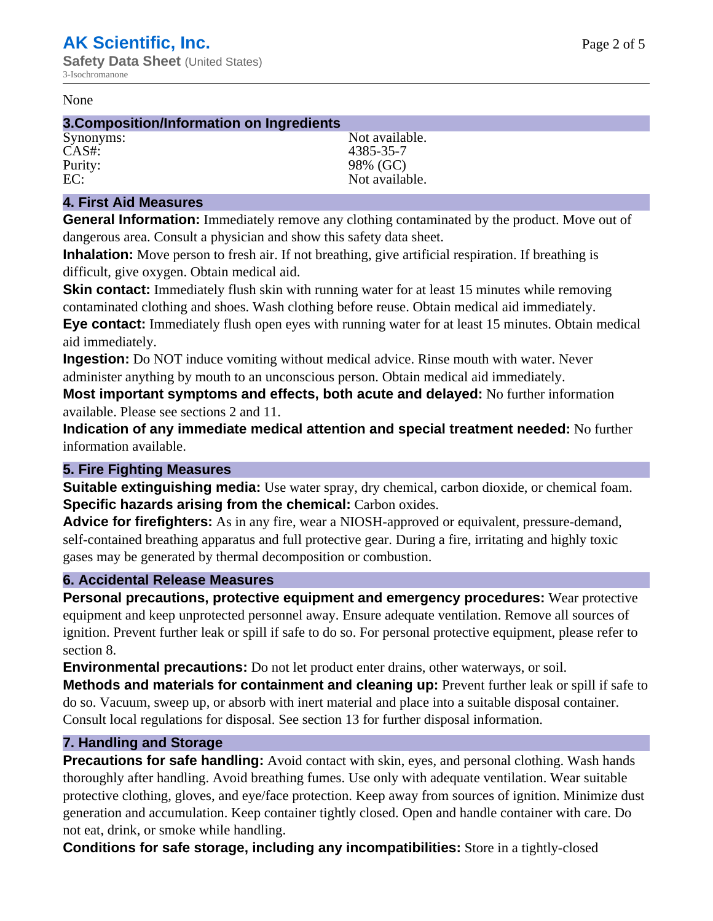#### None

#### **3.Composition/Information on Ingredients**

CAS#: 4385-35-7 Purity: 98% (GC)

Synonyms: Not available. EC: Not available.

# **4. First Aid Measures**

**General Information:** Immediately remove any clothing contaminated by the product. Move out of dangerous area. Consult a physician and show this safety data sheet.

**Inhalation:** Move person to fresh air. If not breathing, give artificial respiration. If breathing is difficult, give oxygen. Obtain medical aid.

**Skin contact:** Immediately flush skin with running water for at least 15 minutes while removing contaminated clothing and shoes. Wash clothing before reuse. Obtain medical aid immediately. **Eye contact:** Immediately flush open eyes with running water for at least 15 minutes. Obtain medical aid immediately.

**Ingestion:** Do NOT induce vomiting without medical advice. Rinse mouth with water. Never administer anything by mouth to an unconscious person. Obtain medical aid immediately.

**Most important symptoms and effects, both acute and delayed:** No further information available. Please see sections 2 and 11.

**Indication of any immediate medical attention and special treatment needed:** No further information available.

# **5. Fire Fighting Measures**

**Suitable extinguishing media:** Use water spray, dry chemical, carbon dioxide, or chemical foam. **Specific hazards arising from the chemical:** Carbon oxides.

**Advice for firefighters:** As in any fire, wear a NIOSH-approved or equivalent, pressure-demand, self-contained breathing apparatus and full protective gear. During a fire, irritating and highly toxic gases may be generated by thermal decomposition or combustion.

# **6. Accidental Release Measures**

**Personal precautions, protective equipment and emergency procedures:** Wear protective equipment and keep unprotected personnel away. Ensure adequate ventilation. Remove all sources of ignition. Prevent further leak or spill if safe to do so. For personal protective equipment, please refer to section 8.

**Environmental precautions:** Do not let product enter drains, other waterways, or soil.

**Methods and materials for containment and cleaning up:** Prevent further leak or spill if safe to do so. Vacuum, sweep up, or absorb with inert material and place into a suitable disposal container. Consult local regulations for disposal. See section 13 for further disposal information.

# **7. Handling and Storage**

**Precautions for safe handling:** Avoid contact with skin, eyes, and personal clothing. Wash hands thoroughly after handling. Avoid breathing fumes. Use only with adequate ventilation. Wear suitable protective clothing, gloves, and eye/face protection. Keep away from sources of ignition. Minimize dust generation and accumulation. Keep container tightly closed. Open and handle container with care. Do not eat, drink, or smoke while handling.

**Conditions for safe storage, including any incompatibilities:** Store in a tightly-closed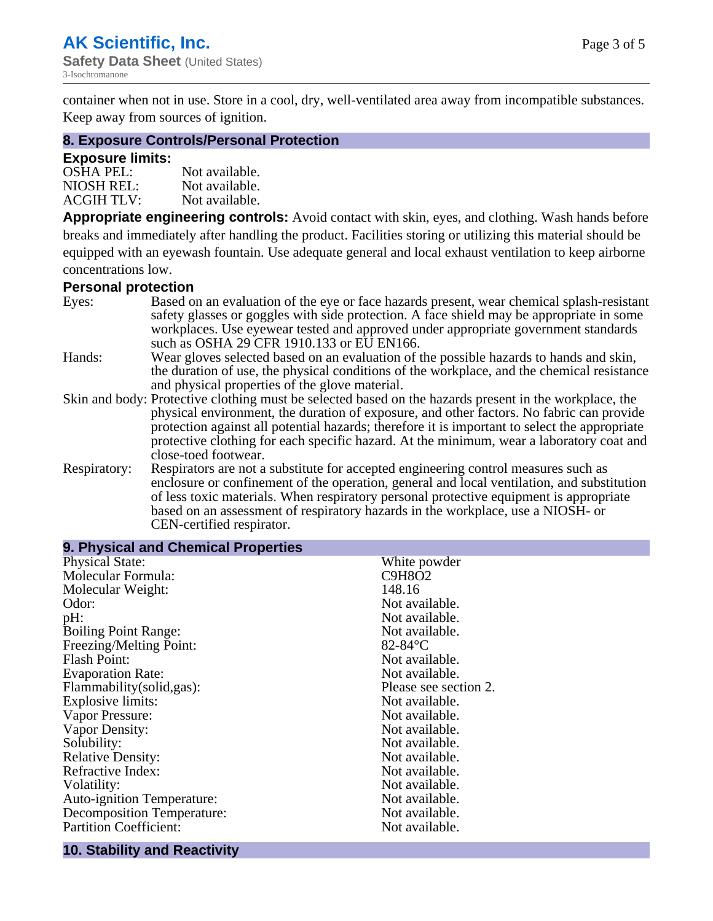container when not in use. Store in a cool, dry, well-ventilated area away from incompatible substances. Keep away from sources of ignition.

## **8. Exposure Controls/Personal Protection**

## **Exposure limits:**

| <b>OSHA PEL:</b>  | Not available. |
|-------------------|----------------|
| NIOSH REL:        | Not available. |
| <b>ACGIH TLV:</b> | Not available. |

**Appropriate engineering controls:** Avoid contact with skin, eyes, and clothing. Wash hands before breaks and immediately after handling the product. Facilities storing or utilizing this material should be equipped with an eyewash fountain. Use adequate general and local exhaust ventilation to keep airborne concentrations low.

## **Personal protection**

| Eyes:        | Based on an evaluation of the eye or face hazards present, wear chemical splash-resistant<br>safety glasses or goggles with side protection. A face shield may be appropriate in some |
|--------------|---------------------------------------------------------------------------------------------------------------------------------------------------------------------------------------|
|              | workplaces. Use eyewear tested and approved under appropriate government standards<br>such as OSHA 29 CFR 1910.133 or EU EN166.                                                       |
| Hands:       | Wear gloves selected based on an evaluation of the possible hazards to hands and skin,                                                                                                |
|              | the duration of use, the physical conditions of the workplace, and the chemical resistance                                                                                            |
|              | and physical properties of the glove material.                                                                                                                                        |
|              | Skin and body: Protective clothing must be selected based on the hazards present in the workplace, the                                                                                |
|              | physical environment, the duration of exposure, and other factors. No fabric can provide                                                                                              |
|              | protection against all potential hazards; therefore it is important to select the appropriate                                                                                         |
|              | protective clothing for each specific hazard. At the minimum, wear a laboratory coat and                                                                                              |
|              | close-toed footwear.                                                                                                                                                                  |
| Respiratory: | Respirators are not a substitute for accepted engineering control measures such as<br>enclosure or confinement of the operation, general and local ventilation, and substitution      |
|              | of less toxic materials. When respiratory personal protective equipment is appropriate                                                                                                |
|              | based on an assessment of respiratory hazards in the workplace, use a NIOSH- or                                                                                                       |
|              | CEN-certified respirator.                                                                                                                                                             |

| White powder          |
|-----------------------|
| <b>C9H8O2</b>         |
| 148.16                |
| Not available.        |
| Not available.        |
| Not available.        |
| $82 - 84$ °C          |
| Not available.        |
| Not available.        |
| Please see section 2. |
| Not available.        |
| Not available.        |
| Not available.        |
| Not available.        |
| Not available.        |
| Not available.        |
| Not available.        |
| Not available.        |
| Not available.        |
| Not available.        |
|                       |

# **10. Stability and Reactivity**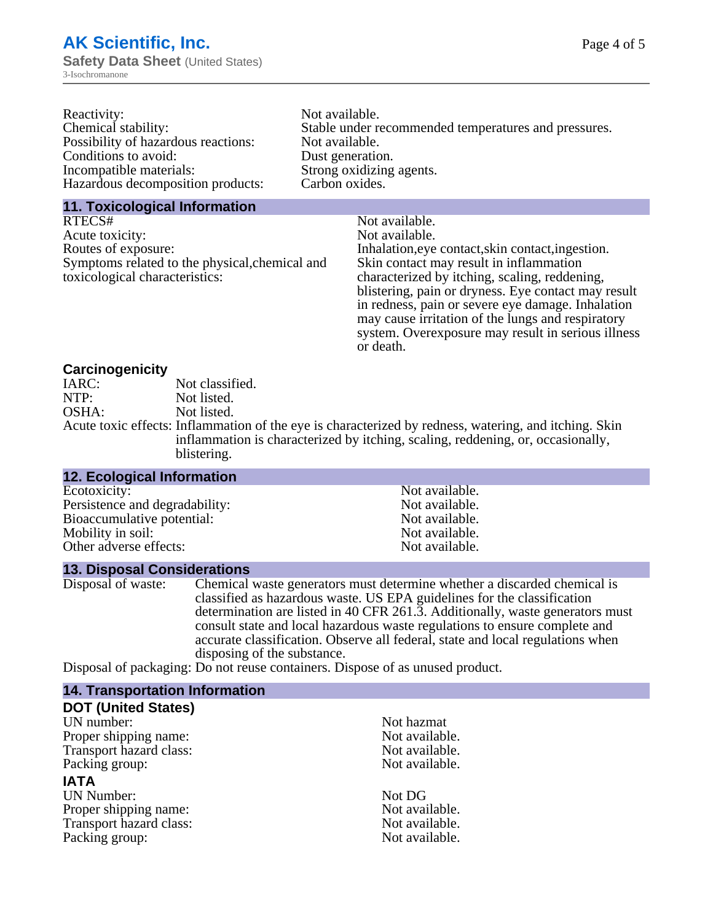| Reactivity:                         | Not available.                                       |
|-------------------------------------|------------------------------------------------------|
| Chemical stability:                 | Stable under recommended temperatures and pressures. |
| Possibility of hazardous reactions: | Not available.                                       |
| Conditions to avoid:                | Dust generation.                                     |
| Incompatible materials:             | Strong oxidizing agents.                             |
| Hazardous decomposition products:   | Carbon oxides.                                       |
|                                     |                                                      |

#### **11. Toxicological Information**

| RTECS#                                         | Not available.                                      |
|------------------------------------------------|-----------------------------------------------------|
| Acute toxicity:                                | Not available.                                      |
| Routes of exposure:                            | Inhalation, eye contact, skin contact, ingestion.   |
| Symptoms related to the physical, chemical and | Skin contact may result in inflammation             |
| toxicological characteristics:                 | characterized by itching, scaling, reddening,       |
|                                                | blistering, pain or dryness. Eye contact may result |
|                                                | in redness, pain or severe eye damage. Inhalation   |
|                                                | may cause irritation of the lungs and respiratory   |
|                                                | system. Over exposure may result in serious illness |
|                                                |                                                     |

or death.

## **Carcinogenicity**

| IARC: | Not classified.                                                                                       |
|-------|-------------------------------------------------------------------------------------------------------|
| NTP:  | Not listed.                                                                                           |
| OSHA: | Not listed.                                                                                           |
|       | Acute toxic effects: Inflammation of the eye is characterized by redness, watering, and itching. Skin |
|       | inflammation is characterized by itching, scaling, reddening, or, occasionally,                       |
|       | blistering.                                                                                           |

| <b>12. Ecological Information</b> |                |
|-----------------------------------|----------------|
| Ecotoxicity:                      | Not available. |
| Persistence and degradability:    | Not available. |
| Bioaccumulative potential:        | Not available. |
| Mobility in soil:                 | Not available. |
| Other adverse effects:            | Not available. |

## **13. Disposal Considerations**

Disposal of waste: Chemical waste generators must determine whether a discarded chemical is classified as hazardous waste. US EPA guidelines for the classification determination are listed in 40 CFR 261.3. Additionally, waste generators must consult state and local hazardous waste regulations to ensure complete and accurate classification. Observe all federal, state and local regulations when disposing of the substance.

Disposal of packaging: Do not reuse containers. Dispose of as unused product.

| <b>14. Transportation Information</b> |                |  |
|---------------------------------------|----------------|--|
| <b>DOT (United States)</b>            |                |  |
| UN number:                            | Not hazmat     |  |
| Proper shipping name:                 | Not available. |  |
| Transport hazard class:               | Not available. |  |
| Packing group:                        | Not available. |  |
| <b>IATA</b>                           |                |  |
| <b>UN Number:</b>                     | Not DG         |  |
| Proper shipping name:                 | Not available. |  |
| Transport hazard class:               | Not available. |  |
| Packing group:                        | Not available. |  |